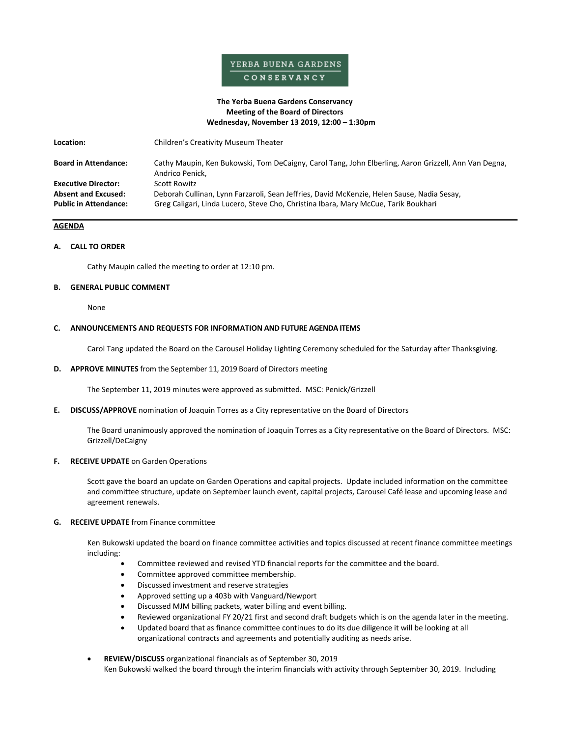# YERBA BUENA GARDENS CONSERVANCY

# **The Yerba Buena Gardens Conservancy Meeting of the Board of Directors Wednesday, November 13 2019, 12:00 – 1:30pm**

| Location:                                                                                | Children's Creativity Museum Theater                                                                                                                                                              |
|------------------------------------------------------------------------------------------|---------------------------------------------------------------------------------------------------------------------------------------------------------------------------------------------------|
| <b>Board in Attendance:</b>                                                              | Cathy Maupin, Ken Bukowski, Tom DeCaigny, Carol Tang, John Elberling, Aaron Grizzell, Ann Van Degna,<br>Andrico Penick,                                                                           |
| <b>Executive Director:</b><br><b>Absent and Excused:</b><br><b>Public in Attendance:</b> | Scott Rowitz<br>Deborah Cullinan, Lynn Farzaroli, Sean Jeffries, David McKenzie, Helen Sause, Nadia Sesay,<br>Greg Caligari, Linda Lucero, Steve Cho, Christina Ibara, Mary McCue, Tarik Boukhari |

# **AGENDA**

# **A. CALL TO ORDER**

Cathy Maupin called the meeting to order at 12:10 pm.

### **B. GENERAL PUBLIC COMMENT**

None

# **C. ANNOUNCEMENTS AND REQUESTS FOR INFORMATION AND FUTURE AGENDA ITEMS**

Carol Tang updated the Board on the Carousel Holiday Lighting Ceremony scheduled for the Saturday after Thanksgiving.

**D. APPROVE MINUTES** from the September 11, 2019 Board of Directors meeting

The September 11, 2019 minutes were approved as submitted. MSC: Penick/Grizzell

**E. DISCUSS/APPROVE** nomination of Joaquin Torres as a City representative on the Board of Directors

The Board unanimously approved the nomination of Joaquin Torres as a City representative on the Board of Directors. MSC: Grizzell/DeCaigny

#### **F. RECEIVE UPDATE** on Garden Operations

Scott gave the board an update on Garden Operations and capital projects. Update included information on the committee and committee structure, update on September launch event, capital projects, Carousel Café lease and upcoming lease and agreement renewals.

# **G. RECEIVE UPDATE** from Finance committee

Ken Bukowski updated the board on finance committee activities and topics discussed at recent finance committee meetings including:

- Committee reviewed and revised YTD financial reports for the committee and the board.
- Committee approved committee membership.
- Discussed investment and reserve strategies
- Approved setting up a 403b with Vanguard/Newport
- Discussed MJM billing packets, water billing and event billing.
- Reviewed organizational FY 20/21 first and second draft budgets which is on the agenda later in the meeting.
- Updated board that as finance committee continues to do its due diligence it will be looking at all organizational contracts and agreements and potentially auditing as needs arise.
- **REVIEW/DISCUSS** organizational financials as of September 30, 2019 Ken Bukowski walked the board through the interim financials with activity through September 30, 2019. Including